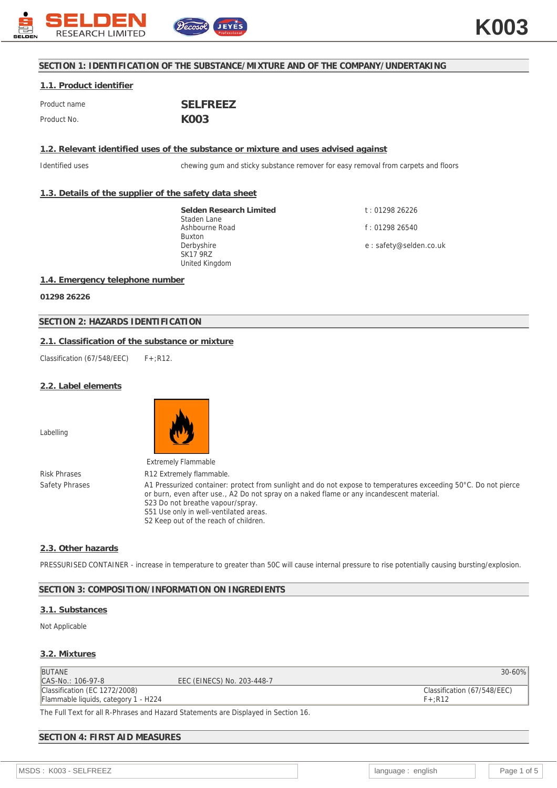

## **SECTION 1: IDENTIFICATION OF THE SUBSTANCE/MIXTURE AND OF THE COMPANY/UNDERTAKING**

# **1.1. Product identifier**

| Product name | <b>SELFREEZ</b>   |
|--------------|-------------------|
| Product No.  | K <sub>00</sub> 3 |

## **1.2. Relevant identified uses of the substance or mixture and uses advised against**

Identified uses chewing gum and sticky substance remover for easy removal from carpets and floors

## **1.3. Details of the supplier of the safety data sheet**

**Selden Research Limited** Staden Lane Ashbourne Road Buxton Derbyshire SK17 9RZ United Kingdom

t : 01298 26226 f : 01298 26540 e : safety@selden.co.uk

### **1.4. Emergency telephone number**

**01298 26226**

## **SECTION 2: HAZARDS IDENTIFICATION**

## **2.1. Classification of the substance or mixture**

Classification (67/548/EEC)  $F+ :R12$ .

### **2.2. Label elements**

Labelling



S2 Keep out of the reach of children.

Risk Phrases R12 Extremely flammable. Safety Phrases A1 Pressurized container: protect from sunlight and do not expose to temperatures exceeding 50°C. Do not pierce or burn, even after use., A2 Do not spray on a naked flame or any incandescent material. S23 Do not breathe vapour/spray. S51 Use only in well-ventilated areas.

### **2.3. Other hazards**

PRESSURISED CONTAINER - increase in temperature to greater than 50C will cause internal pressure to rise potentially causing bursting/explosion.

### **SECTION 3: COMPOSITION/INFORMATION ON INGREDIENTS**

### **3.1. Substances**

Not Applicable

### **3.2. Mixtures**

| <b>BUTANE</b>                              |                            | $30 - 60\%$                 |
|--------------------------------------------|----------------------------|-----------------------------|
| CAS-No.: 106-97-8                          | EEC (EINECS) No. 203-448-7 |                             |
| Classification (EC 1272/2008)              |                            | Classification (67/548/EEC) |
| Flammable liquids, category 1 - H224       |                            | $F+$ :R12                   |
| TUE UT 10 URBL - UU IOLI - IN IN IN OUT AL |                            |                             |

The Full Text for all R-Phrases and Hazard Statements are Displayed in Section 16.

## **SECTION 4: FIRST AID MEASURES**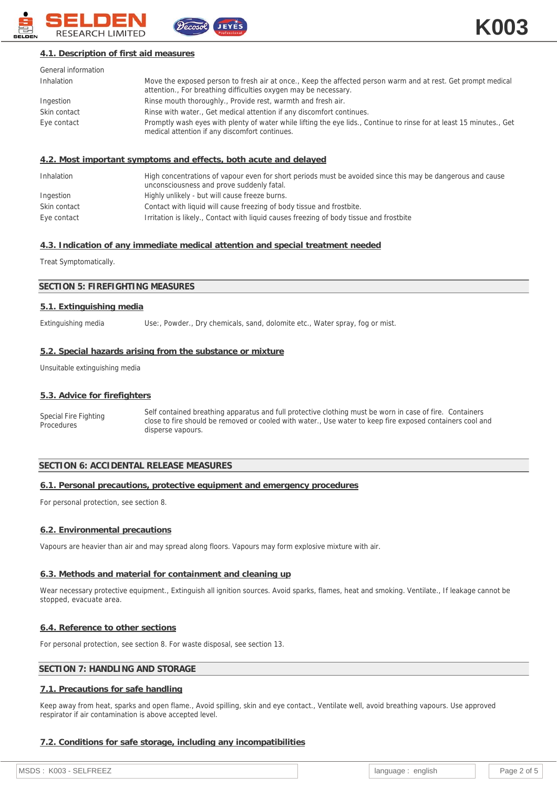

## **4.1. Description of first aid measures**

| General information |                                                                                                                                                                                 |
|---------------------|---------------------------------------------------------------------------------------------------------------------------------------------------------------------------------|
| Inhalation          | Move the exposed person to fresh air at once., Keep the affected person warm and at rest. Get prompt medical<br>attention., For breathing difficulties oxygen may be necessary. |
| Ingestion           | Rinse mouth thoroughly., Provide rest, warmth and fresh air.                                                                                                                    |
| Skin contact        | Rinse with water., Get medical attention if any discomfort continues.                                                                                                           |
| Eye contact         | Promptly wash eyes with plenty of water while lifting the eye lids., Continue to rinse for at least 15 minutes., Get<br>medical attention if any discomfort continues.          |

## **4.2. Most important symptoms and effects, both acute and delayed**

| Inhalation   | High concentrations of vapour even for short periods must be avoided since this may be dangerous and cause<br>unconsciousness and prove suddenly fatal. |
|--------------|---------------------------------------------------------------------------------------------------------------------------------------------------------|
| Ingestion    | Highly unlikely - but will cause freeze burns.                                                                                                          |
| Skin contact | Contact with liquid will cause freezing of body tissue and frostbite.                                                                                   |
| Eye contact  | Irritation is likely., Contact with liquid causes freezing of body tissue and frostbite                                                                 |

### **4.3. Indication of any immediate medical attention and special treatment needed**

Treat Symptomatically.

### **SECTION 5: FIREFIGHTING MEASURES**

#### **5.1. Extinguishing media**

Extinguishing media Use:, Powder., Dry chemicals, sand, dolomite etc., Water spray, fog or mist.

#### **5.2. Special hazards arising from the substance or mixture**

Unsuitable extinguishing media

#### **5.3. Advice for firefighters**

Special Fire Fighting **Procedures** Self contained breathing apparatus and full protective clothing must be worn in case of fire. Containers close to fire should be removed or cooled with water., Use water to keep fire exposed containers cool and disperse vapours.

## **SECTION 6: ACCIDENTAL RELEASE MEASURES**

### **6.1. Personal precautions, protective equipment and emergency procedures**

For personal protection, see section 8.

### **6.2. Environmental precautions**

Vapours are heavier than air and may spread along floors. Vapours may form explosive mixture with air.

#### **6.3. Methods and material for containment and cleaning up**

Wear necessary protective equipment., Extinguish all ignition sources. Avoid sparks, flames, heat and smoking. Ventilate., If leakage cannot be stopped, evacuate area.

#### **6.4. Reference to other sections**

For personal protection, see section 8. For waste disposal, see section 13.

## **SECTION 7: HANDLING AND STORAGE**

#### **7.1. Precautions for safe handling**

Keep away from heat, sparks and open flame., Avoid spilling, skin and eye contact., Ventilate well, avoid breathing vapours. Use approved respirator if air contamination is above accepted level.

### **7.2. Conditions for safe storage, including any incompatibilities**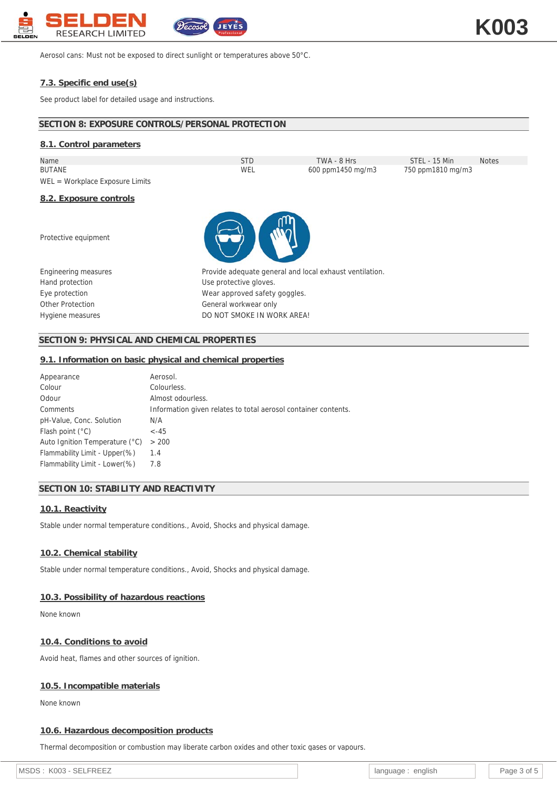

Aerosol cans: Must not be exposed to direct sunlight or temperatures above 50°C.

## **7.3. Specific end use(s)**

See product label for detailed usage and instructions.

| SECTION 8: EXPOSURE CONTROLS/PERSONAL PROTECTION |                                                         |                   |                   |              |
|--------------------------------------------------|---------------------------------------------------------|-------------------|-------------------|--------------|
| 8.1. Control parameters                          |                                                         |                   |                   |              |
| Name                                             | <b>STD</b>                                              | TWA - 8 Hrs       | STEL - 15 Min     | <b>Notes</b> |
| <b>BUTANE</b>                                    | WEL                                                     | 600 ppm1450 mg/m3 | 750 ppm1810 mg/m3 |              |
| $WEL = Workplace Exposure Limits$                |                                                         |                   |                   |              |
| 8.2. Exposure controls                           |                                                         |                   |                   |              |
| Protective equipment                             |                                                         |                   |                   |              |
| Engineering measures                             | Provide adequate general and local exhaust ventilation. |                   |                   |              |
| Hand protection                                  | Use protective gloves.                                  |                   |                   |              |
| Eye protection                                   | Wear approved safety goggles.                           |                   |                   |              |
| Other Protection                                 | General workwear only                                   |                   |                   |              |
| Hygiene measures                                 | DO NOT SMOKE IN WORK AREA!                              |                   |                   |              |

## **SECTION 9: PHYSICAL AND CHEMICAL PROPERTIES**

### **9.1. Information on basic physical and chemical properties**

| Appearance                     | Aerosol.                                                       |
|--------------------------------|----------------------------------------------------------------|
| Colour                         | Colourless.                                                    |
| Odour                          | Almost odourless.                                              |
| Comments                       | Information given relates to total aerosol container contents. |
| pH-Value, Conc. Solution       | N/A                                                            |
| Flash point $(°C)$             | $-45$                                                          |
| Auto Ignition Temperature (°C) | > 200                                                          |
| Flammability Limit - Upper(%)  | 1.4                                                            |
| Flammability Limit - Lower (%) | 7.8                                                            |
|                                |                                                                |

## **SECTION 10: STABILITY AND REACTIVITY**

### **10.1. Reactivity**

Stable under normal temperature conditions., Avoid, Shocks and physical damage.

### **10.2. Chemical stability**

Stable under normal temperature conditions., Avoid, Shocks and physical damage.

## **10.3. Possibility of hazardous reactions**

None known

## **10.4. Conditions to avoid**

Avoid heat, flames and other sources of ignition.

## **10.5. Incompatible materials**

None known

## **10.6. Hazardous decomposition products**

Thermal decomposition or combustion may liberate carbon oxides and other toxic gases or vapours.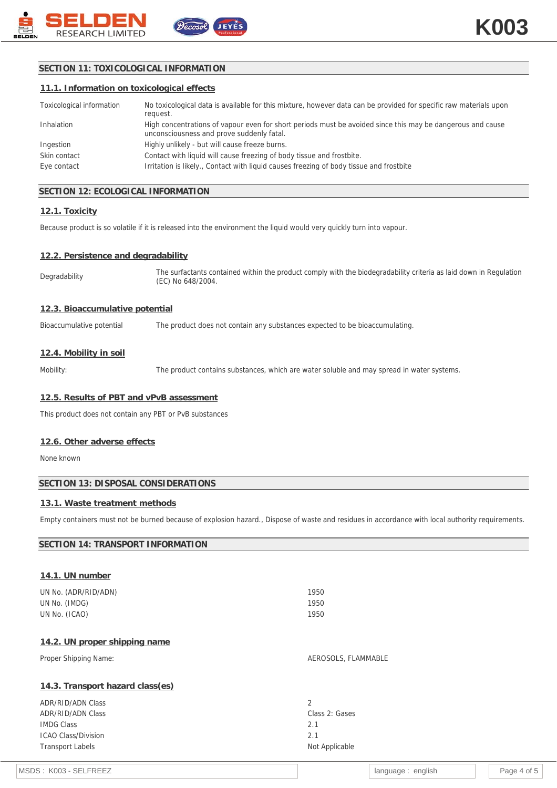

## **SECTION 11: TOXICOLOGICAL INFORMATION**

|  | 11.1. Information on toxicological effects |  |
|--|--------------------------------------------|--|
|  |                                            |  |

| Toxicological information | No toxicological data is available for this mixture, however data can be provided for specific raw materials upon<br>request.                           |
|---------------------------|---------------------------------------------------------------------------------------------------------------------------------------------------------|
| Inhalation                | High concentrations of vapour even for short periods must be avoided since this may be dangerous and cause<br>unconsciousness and prove suddenly fatal. |
| Ingestion                 | Highly unlikely - but will cause freeze burns.                                                                                                          |
| Skin contact              | Contact with liquid will cause freezing of body tissue and frostbite.                                                                                   |
| Eye contact               | Irritation is likely., Contact with liquid causes freezing of body tissue and frostbite                                                                 |

## **SECTION 12: ECOLOGICAL INFORMATION**

## **12.1. Toxicity**

Because product is so volatile if it is released into the environment the liquid would very quickly turn into vapour.

### **12.2. Persistence and degradability**

Degradability The surfactants contained within the product comply with the biodegradability criteria as laid down in Regulation (EC) No 648/2004.

### **12.3. Bioaccumulative potential**

Bioaccumulative potential The product does not contain any substances expected to be bioaccumulating.

#### **12.4. Mobility in soil**

Mobility: The product contains substances, which are water soluble and may spread in water systems.

### **12.5. Results of PBT and vPvB assessment**

This product does not contain any PBT or PvB substances

#### **12.6. Other adverse effects**

None known

### **SECTION 13: DISPOSAL CONSIDERATIONS**

### **13.1. Waste treatment methods**

Empty containers must not be burned because of explosion hazard., Dispose of waste and residues in accordance with local authority requirements.

### **SECTION 14: TRANSPORT INFORMATION**

| 14.1. UN number                  |                     |
|----------------------------------|---------------------|
| UN No. (ADR/RID/ADN)             | 1950                |
| UN No. (IMDG)                    | 1950                |
| UN No. (ICAO)                    | 1950                |
| 14.2. UN proper shipping name    |                     |
| Proper Shipping Name:            | AEROSOLS, FLAMMABLE |
| 14.3. Transport hazard class(es) |                     |
| ADR/RID/ADN Class                | $\mathfrak{D}$      |
| ADR/RID/ADN Class                | Class 2: Gases      |
| <b>IMDG Class</b>                | 2.1                 |
| <b>ICAO Class/Division</b>       | 2.1                 |
| <b>Transport Labels</b>          | Not Applicable      |